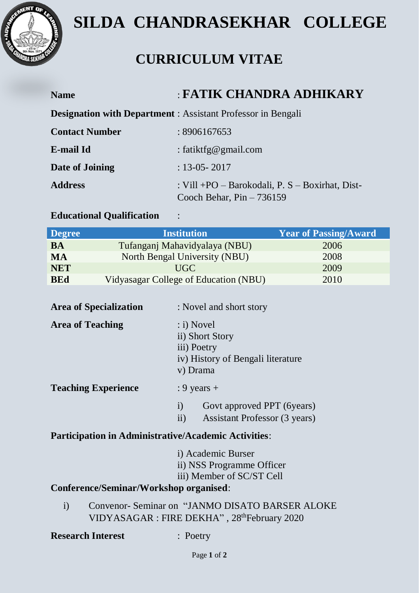

# **SILDA CHANDRASEKHAR COLLEGE**

# **CURRICULUM VITAE**

| <b>Name</b>           | : FATIK CHANDRA ADHIKARY                                                         |
|-----------------------|----------------------------------------------------------------------------------|
|                       | <b>Designation with Department</b> : Assistant Professor in Bengali              |
| <b>Contact Number</b> | :8906167653                                                                      |
| E-mail Id             | : fatiktfg@gmail.com                                                             |
| Date of Joining       | $: 13 - 05 - 2017$                                                               |
| <b>Address</b>        | : Vill +PO – Barokodali, P. $S$ – Boxirhat, Dist-<br>Cooch Behar, $Pin - 736159$ |

# **Educational Qualification** :

| <b>Degree</b> | <b>Institution</b>                    | <b>Year of Passing/Award</b> |
|---------------|---------------------------------------|------------------------------|
| <b>BA</b>     | Tufanganj Mahavidyalaya (NBU)         | 2006                         |
| <b>MA</b>     | North Bengal University (NBU)         | 2008                         |
| <b>NET</b>    | UGC -                                 | 2009                         |
| <b>BEd</b>    | Vidyasagar College of Education (NBU) | 2010                         |

| <b>Area of Specialization</b> | : Novel and short story                                                                                  |
|-------------------------------|----------------------------------------------------------------------------------------------------------|
| <b>Area of Teaching</b>       | $\therefore$ i) Novel<br>ii) Short Story<br>iii) Poetry<br>iv) History of Bengali literature<br>v) Drama |
| <b>Teaching Experience</b>    | : 9 years $+$                                                                                            |
|                               | Govt approved PPT (6years)<br>$\rm i)$<br>ii)<br>Assistant Professor (3 years)                           |

# **Participation in Administrative/Academic Activities**:

| i) Academic Burser        |
|---------------------------|
| ii) NSS Programme Officer |
| iii) Member of SC/ST Cell |

## **Conference/Seminar/Workshop organised**:

i) Convenor- Seminar on "JANMO DISATO BARSER ALOKE VIDYASAGAR : FIRE DEKHA", 28<sup>th</sup>February 2020

#### **Research Interest** : Poetry